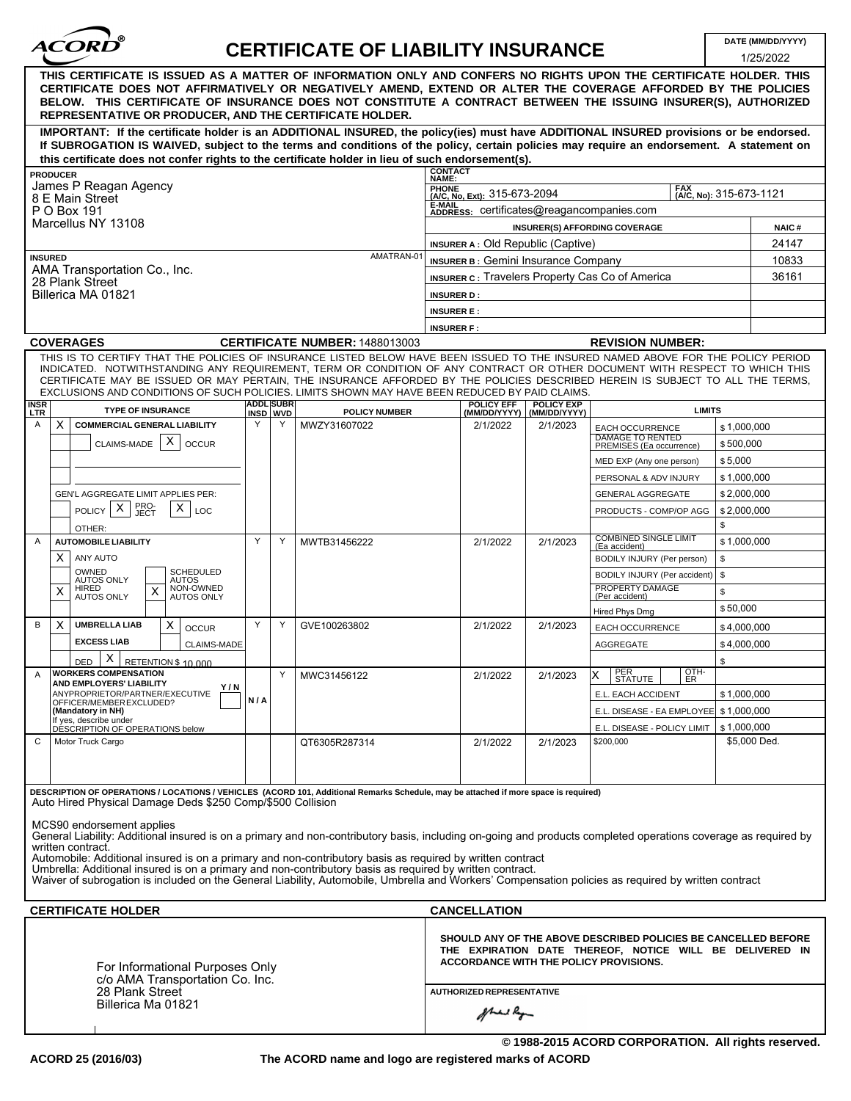| <b>ACORD</b> |  |
|--------------|--|
|              |  |

# **CERTIFICATE OF LIABILITY INSURANCE**

|                                       |                                                                                                                                                                                                                                                                                                                                                                                                                  |     |                              |                                |                                                                                        |                                                  |                   |                                                                                                                                                                             |                | 1/25/2022    |
|---------------------------------------|------------------------------------------------------------------------------------------------------------------------------------------------------------------------------------------------------------------------------------------------------------------------------------------------------------------------------------------------------------------------------------------------------------------|-----|------------------------------|--------------------------------|----------------------------------------------------------------------------------------|--------------------------------------------------|-------------------|-----------------------------------------------------------------------------------------------------------------------------------------------------------------------------|----------------|--------------|
|                                       | THIS CERTIFICATE IS ISSUED AS A MATTER OF INFORMATION ONLY AND CONFERS NO RIGHTS UPON THE CERTIFICATE HOLDER. THIS<br>CERTIFICATE DOES NOT AFFIRMATIVELY OR NEGATIVELY AMEND, EXTEND OR ALTER THE COVERAGE AFFORDED BY THE POLICIES<br>BELOW. THIS CERTIFICATE OF INSURANCE DOES NOT CONSTITUTE A CONTRACT BETWEEN THE ISSUING INSURER(S), AUTHORIZED<br>REPRESENTATIVE OR PRODUCER, AND THE CERTIFICATE HOLDER. |     |                              |                                |                                                                                        |                                                  |                   |                                                                                                                                                                             |                |              |
|                                       | IMPORTANT: If the certificate holder is an ADDITIONAL INSURED, the policy(ies) must have ADDITIONAL INSURED provisions or be endorsed.<br>If SUBROGATION IS WAIVED, subject to the terms and conditions of the policy, certain policies may require an endorsement. A statement on                                                                                                                               |     |                              |                                |                                                                                        |                                                  |                   |                                                                                                                                                                             |                |              |
|                                       | this certificate does not confer rights to the certificate holder in lieu of such endorsement(s).<br><b>PRODUCER</b>                                                                                                                                                                                                                                                                                             |     |                              |                                | <b>CONTACT</b>                                                                         |                                                  |                   |                                                                                                                                                                             |                |              |
|                                       | James P Reagan Agency                                                                                                                                                                                                                                                                                                                                                                                            |     |                              |                                | NAME:                                                                                  | PHONE<br>(A/C, No, Ext): 315-673-2094            |                   |                                                                                                                                                                             |                |              |
|                                       | 8 E Main Street                                                                                                                                                                                                                                                                                                                                                                                                  |     |                              |                                | E-MAIL                                                                                 |                                                  |                   | (A/C, No): 315-673-1121                                                                                                                                                     |                |              |
|                                       | P O Box 191<br>Marcellus NY 13108                                                                                                                                                                                                                                                                                                                                                                                |     |                              |                                | ADDRESS: certificates@reagancompanies.com                                              |                                                  |                   |                                                                                                                                                                             |                |              |
|                                       |                                                                                                                                                                                                                                                                                                                                                                                                                  |     |                              |                                | <b>INSURER(S) AFFORDING COVERAGE</b>                                                   |                                                  |                   |                                                                                                                                                                             | <b>NAIC#</b>   |              |
| <b>INSURED</b>                        |                                                                                                                                                                                                                                                                                                                                                                                                                  |     |                              | AMATRAN-01                     | <b>INSURER A: Old Republic (Captive)</b><br><b>INSURER B: Gemini Insurance Company</b> |                                                  |                   |                                                                                                                                                                             | 24147<br>10833 |              |
|                                       | AMA Transportation Co., Inc.                                                                                                                                                                                                                                                                                                                                                                                     |     |                              |                                |                                                                                        |                                                  |                   | <b>INSURER C: Travelers Property Cas Co of America</b>                                                                                                                      |                | 36161        |
|                                       | 28 Plank Street                                                                                                                                                                                                                                                                                                                                                                                                  |     |                              |                                |                                                                                        |                                                  |                   |                                                                                                                                                                             |                |              |
|                                       | Billerica MA 01821                                                                                                                                                                                                                                                                                                                                                                                               |     |                              |                                | <b>INSURER D:</b>                                                                      |                                                  |                   |                                                                                                                                                                             |                |              |
|                                       |                                                                                                                                                                                                                                                                                                                                                                                                                  |     |                              |                                | <b>INSURER E:</b><br><b>INSURER F:</b>                                                 |                                                  |                   |                                                                                                                                                                             |                |              |
|                                       | <b>COVERAGES</b>                                                                                                                                                                                                                                                                                                                                                                                                 |     |                              | CERTIFICATE NUMBER: 1488013003 |                                                                                        |                                                  |                   | <b>REVISION NUMBER:</b>                                                                                                                                                     |                |              |
|                                       | THIS IS TO CERTIFY THAT THE POLICIES OF INSURANCE LISTED BELOW HAVE BEEN ISSUED TO THE INSURED NAMED ABOVE FOR THE POLICY PERIOD                                                                                                                                                                                                                                                                                 |     |                              |                                |                                                                                        |                                                  |                   |                                                                                                                                                                             |                |              |
|                                       | INDICATED. NOTWITHSTANDING ANY REQUIREMENT, TERM OR CONDITION OF ANY CONTRACT OR OTHER DOCUMENT WITH RESPECT TO WHICH THIS<br>CERTIFICATE MAY BE ISSUED OR MAY PERTAIN, THE INSURANCE AFFORDED BY THE POLICIES DESCRIBED HEREIN IS SUBJECT TO ALL THE TERMS,<br>EXCLUSIONS AND CONDITIONS OF SUCH POLICIES. LIMITS SHOWN MAY HAVE BEEN REDUCED BY PAID CLAIMS.                                                   |     |                              |                                |                                                                                        |                                                  |                   |                                                                                                                                                                             |                |              |
| INSR<br><b>LTR</b>                    | <b>TYPE OF INSURANCE</b>                                                                                                                                                                                                                                                                                                                                                                                         |     | <b>ADDL</b> SUBR<br>INSD WVD | <b>POLICY NUMBER</b>           |                                                                                        | <b>POLICY EFF</b><br>(MM/DD/YYYY)   (MM/DD/YYYY) | <b>POLICY EXP</b> | <b>LIMITS</b>                                                                                                                                                               |                |              |
| A                                     | <b>COMMERCIAL GENERAL LIABILITY</b><br>x                                                                                                                                                                                                                                                                                                                                                                         | Y   | Y                            | MWZY31607022                   |                                                                                        | 2/1/2022                                         | 2/1/2023          | <b>EACH OCCURRENCE</b>                                                                                                                                                      | \$1,000,000    |              |
|                                       | Х<br>CLAIMS-MADE<br><b>OCCUR</b>                                                                                                                                                                                                                                                                                                                                                                                 |     |                              |                                |                                                                                        |                                                  |                   | <b>DAMAGE TO RENTED</b><br>PREMISES (Ea occurrence)                                                                                                                         | \$500,000      |              |
|                                       |                                                                                                                                                                                                                                                                                                                                                                                                                  |     |                              |                                |                                                                                        |                                                  |                   | MED EXP (Any one person)                                                                                                                                                    | \$5,000        |              |
|                                       |                                                                                                                                                                                                                                                                                                                                                                                                                  |     |                              |                                |                                                                                        |                                                  |                   | PERSONAL & ADV INJURY                                                                                                                                                       | \$1,000,000    |              |
|                                       | GEN'L AGGREGATE LIMIT APPLIES PER:                                                                                                                                                                                                                                                                                                                                                                               |     |                              |                                |                                                                                        |                                                  |                   | <b>GENERAL AGGREGATE</b>                                                                                                                                                    | \$2,000,000    |              |
|                                       | PRO-<br>JECT<br>х<br>х<br><b>POLICY</b><br>LOC                                                                                                                                                                                                                                                                                                                                                                   |     |                              |                                |                                                                                        |                                                  |                   | PRODUCTS - COMP/OP AGG                                                                                                                                                      | \$2,000,000    |              |
|                                       | OTHER:                                                                                                                                                                                                                                                                                                                                                                                                           |     |                              |                                |                                                                                        |                                                  |                   |                                                                                                                                                                             | \$             |              |
| Α                                     | <b>AUTOMOBILE LIABILITY</b>                                                                                                                                                                                                                                                                                                                                                                                      | Y   | Y                            | MWTB31456222                   |                                                                                        | 2/1/2022                                         | 2/1/2023          | <b>COMBINED SINGLE LIMIT</b><br>(Ea accident)                                                                                                                               | \$1,000,000    |              |
|                                       | X<br>ANY AUTO                                                                                                                                                                                                                                                                                                                                                                                                    |     |                              |                                |                                                                                        |                                                  |                   | BODILY INJURY (Per person)                                                                                                                                                  | \$             |              |
|                                       | <b>SCHEDULED</b><br>OWNED<br><b>AUTOS ONLY</b><br><b>AUTOS</b>                                                                                                                                                                                                                                                                                                                                                   |     |                              |                                |                                                                                        |                                                  |                   | BODILY INJURY (Per accident)                                                                                                                                                | \$             |              |
|                                       | NON-OWNED<br>HIRED<br>X<br>Χ<br><b>AUTOS ONLY</b><br><b>AUTOS ONLY</b>                                                                                                                                                                                                                                                                                                                                           |     |                              |                                |                                                                                        |                                                  |                   | PROPERTY DAMAGE<br>(Per accident)                                                                                                                                           | \$             |              |
|                                       |                                                                                                                                                                                                                                                                                                                                                                                                                  |     |                              |                                |                                                                                        |                                                  |                   | Hired Phys Dmg                                                                                                                                                              | \$50,000       |              |
| B                                     | <b>UMBRELLA LIAB</b><br>X<br>X<br><b>OCCUR</b>                                                                                                                                                                                                                                                                                                                                                                   | Y   | Y                            | GVE100263802                   |                                                                                        | 2/1/2022                                         | 2/1/2023          | <b>EACH OCCURRENCE</b>                                                                                                                                                      | \$4,000,000    |              |
|                                       | <b>EXCESS LIAB</b><br><b>CLAIMS-MADE</b>                                                                                                                                                                                                                                                                                                                                                                         |     |                              |                                |                                                                                        |                                                  |                   | <b>AGGREGATE</b>                                                                                                                                                            | \$4,000,000    |              |
|                                       | Χ<br>RETENTION \$ 10 000<br>DED                                                                                                                                                                                                                                                                                                                                                                                  |     |                              |                                |                                                                                        |                                                  |                   | OTH-                                                                                                                                                                        | \$             |              |
| A                                     | <b>WORKERS COMPENSATION</b><br>AND EMPLOYERS' LIABILITY<br>Y/N                                                                                                                                                                                                                                                                                                                                                   |     | Y                            | MWC31456122                    |                                                                                        | 2/1/2022                                         | 2/1/2023          | PER<br>x<br>ISIAIUIE I<br>1 ER                                                                                                                                              |                |              |
|                                       | ANYPROPRIETOR/PARTNER/EXECUTIVE<br>OFFICER/MEMBER EXCLUDED?                                                                                                                                                                                                                                                                                                                                                      | N/A |                              |                                |                                                                                        |                                                  |                   | E.L. EACH ACCIDENT                                                                                                                                                          | \$1,000,000    |              |
|                                       | (Mandatory in NH)<br>If yes, describe under                                                                                                                                                                                                                                                                                                                                                                      |     |                              |                                |                                                                                        |                                                  |                   | E.L. DISEASE - EA EMPLOYEE   \$1,000,000                                                                                                                                    |                |              |
|                                       | DÉSCRIPTION OF OPERATIONS below                                                                                                                                                                                                                                                                                                                                                                                  |     |                              |                                |                                                                                        |                                                  |                   | E.L. DISEASE - POLICY LIMIT                                                                                                                                                 | \$1,000,000    | \$5,000 Ded. |
| C                                     | Motor Truck Cargo                                                                                                                                                                                                                                                                                                                                                                                                |     |                              | QT6305R287314                  |                                                                                        | 2/1/2022                                         | 2/1/2023          | \$200,000                                                                                                                                                                   |                |              |
|                                       | DESCRIPTION OF OPERATIONS / LOCATIONS / VEHICLES (ACORD 101, Additional Remarks Schedule, may be attached if more space is required)<br>Auto Hired Physical Damage Deds \$250 Comp/\$500 Collision                                                                                                                                                                                                               |     |                              |                                |                                                                                        |                                                  |                   |                                                                                                                                                                             |                |              |
|                                       |                                                                                                                                                                                                                                                                                                                                                                                                                  |     |                              |                                |                                                                                        |                                                  |                   |                                                                                                                                                                             |                |              |
|                                       | MCS90 endorsement applies<br>General Liability: Additional insured is on a primary and non-contributory basis, including on-going and products completed operations coverage as required by                                                                                                                                                                                                                      |     |                              |                                |                                                                                        |                                                  |                   |                                                                                                                                                                             |                |              |
|                                       | written contract.                                                                                                                                                                                                                                                                                                                                                                                                |     |                              |                                |                                                                                        |                                                  |                   |                                                                                                                                                                             |                |              |
|                                       | Automobile: Additional insured is on a primary and non-contributory basis as required by written contract<br>Umbrella: Additional insured is on a primary and non-contributory basis as required by written contract.                                                                                                                                                                                            |     |                              |                                |                                                                                        |                                                  |                   |                                                                                                                                                                             |                |              |
|                                       | Waiver of subrogation is included on the General Liability, Automobile, Umbrella and Workers' Compensation policies as required by written contract                                                                                                                                                                                                                                                              |     |                              |                                |                                                                                        |                                                  |                   |                                                                                                                                                                             |                |              |
|                                       |                                                                                                                                                                                                                                                                                                                                                                                                                  |     |                              |                                |                                                                                        |                                                  |                   |                                                                                                                                                                             |                |              |
|                                       | <b>CERTIFICATE HOLDER</b>                                                                                                                                                                                                                                                                                                                                                                                        |     |                              |                                |                                                                                        | <b>CANCELLATION</b>                              |                   |                                                                                                                                                                             |                |              |
|                                       | For Informational Purposes Only<br>c/o AMA Transportation Co. Inc.                                                                                                                                                                                                                                                                                                                                               |     |                              |                                |                                                                                        |                                                  |                   | SHOULD ANY OF THE ABOVE DESCRIBED POLICIES BE CANCELLED BEFORE<br>THE EXPIRATION DATE THEREOF, NOTICE WILL BE DELIVERED IN<br><b>ACCORDANCE WITH THE POLICY PROVISIONS.</b> |                |              |
| 28 Plank Street<br>Billerica Ma 01821 |                                                                                                                                                                                                                                                                                                                                                                                                                  |     |                              |                                | <b>AUTHORIZED REPRESENTATIVE</b>                                                       |                                                  |                   |                                                                                                                                                                             |                |              |
|                                       |                                                                                                                                                                                                                                                                                                                                                                                                                  |     |                              |                                | of hand Ray                                                                            |                                                  |                   |                                                                                                                                                                             |                |              |
|                                       |                                                                                                                                                                                                                                                                                                                                                                                                                  |     |                              |                                |                                                                                        |                                                  |                   |                                                                                                                                                                             |                |              |

**© 1988-2015 ACORD CORPORATION. All rights reserved.**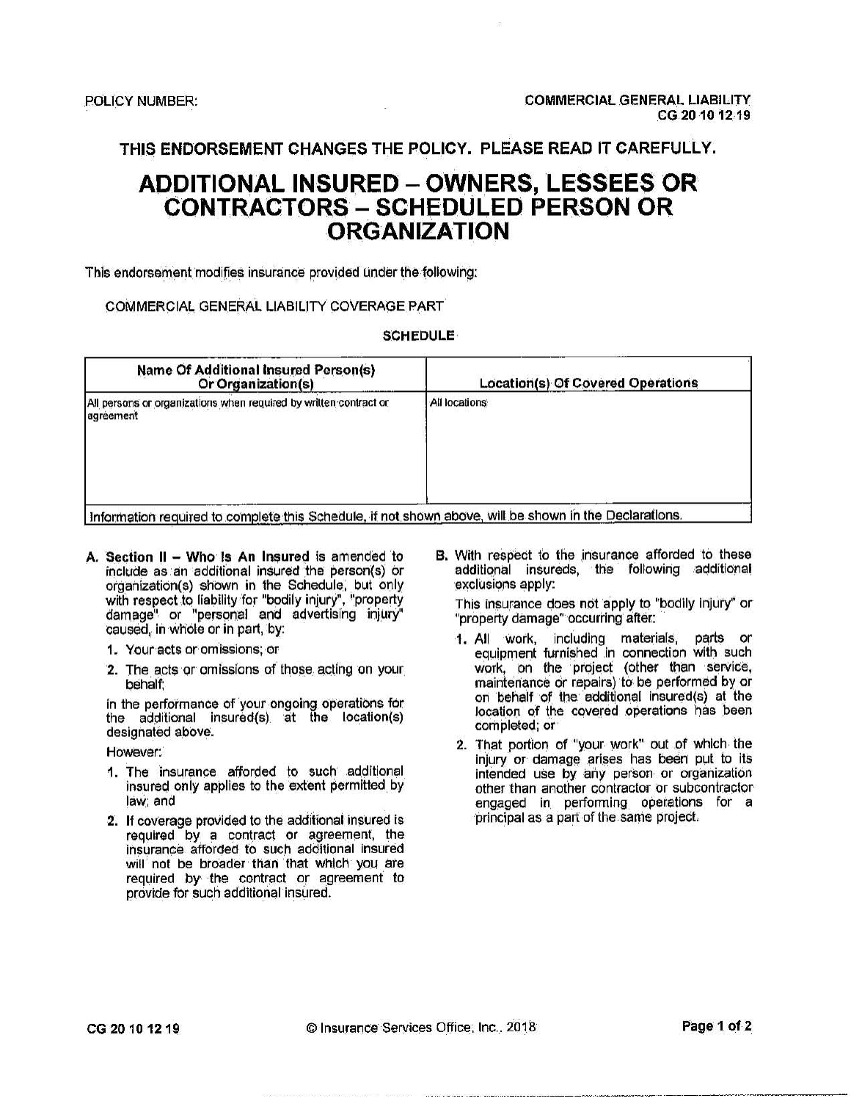# **ADDITIONAL INSURED – OWNERS, LESSEES OR CONTRACTORS - SCHEDULED PERSON OR ORGANIZATION**

This endorsement modifies insurance provided under the following:

### COMMERCIAL GENERAL LIABILITY COVERAGE PART

#### **SCHEDULE**

| <b>Name Of Additional Insured Person(s)</b><br>Or Organization(s)              | <b>Location(s) Of Covered Operations</b> |  |  |
|--------------------------------------------------------------------------------|------------------------------------------|--|--|
| All persons or organizations when required by written contract or<br>agreement | All locations                            |  |  |

Information required to complete this Schedule, if not shown above, will be shown in the Declarations.

- A. Section II Who Is An Insured is amended to include as an additional insured the person(s) or organization(s) shown in the Schedule, but only with respect to liability for "bodily injury", "property damage" or "personal and advertising injury" caused, in whole or in part, by:
	- 1. Your acts or omissions; or
	- 2. The acts or omissions of those acting on your behalf:

in the performance of your ongoing operations for the additional insured(s) at the location(s) designated above.

However:

- 1. The insurance afforded to such additional insured only applies to the extent permitted by law: and
- 2. If coverage provided to the additional insured is required by a contract or agreement, the insurance afforded to such additional insured will not be broader than that which you are required by the contract or agreement to provide for such additional insured.

B. With respect to the insurance afforded to these additional insureds, the following additional exclusions apply:

This insurance does not apply to "bodily injury" or "property damage" occurring after:

- 1. All work, including materials, parts or<br>equipment furnished in connection with such work, on the project (other than service,<br>maintenance or repairs) to be performed by or on behalf of the additional insured(s) at the location of the covered operations has been completed; or
- 2. That portion of "your work" out of which the injury or damage arises has been put to its intended use by any person or organization other than another contractor or subcontractor engaged in performing operations for a principal as a part of the same project.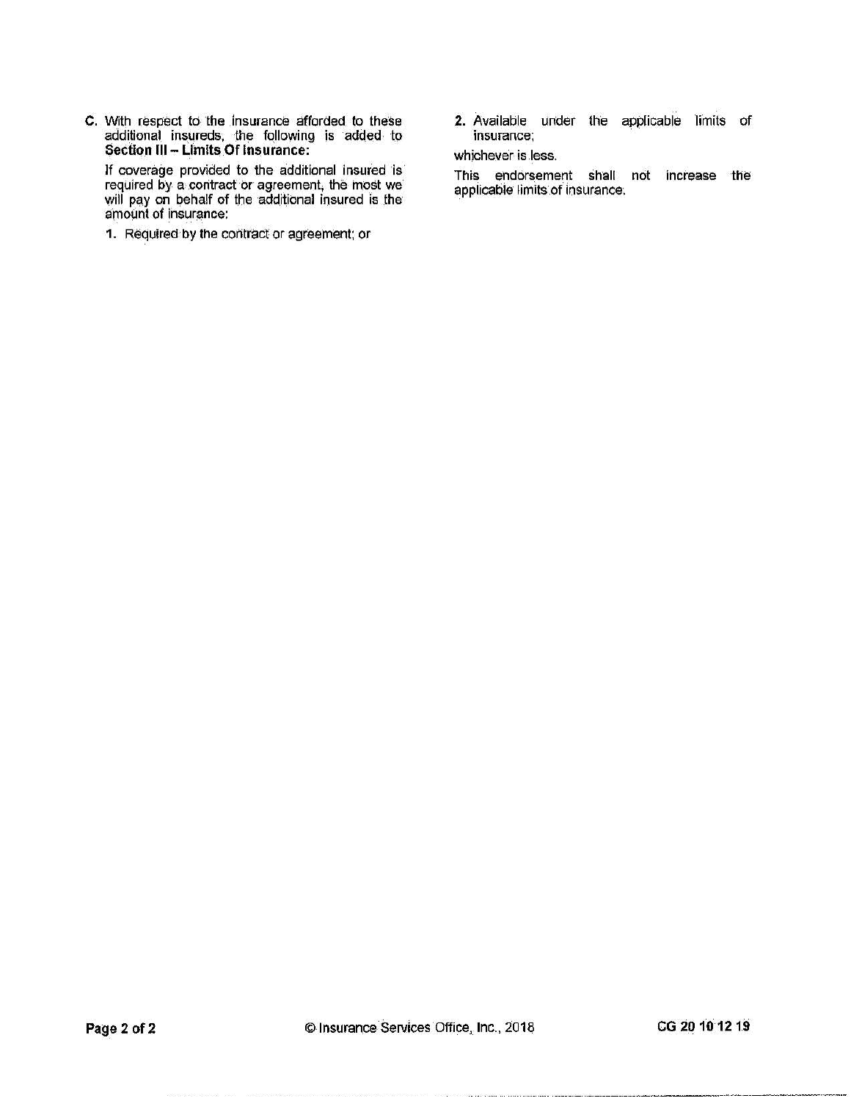C. With respect to the insurance afforded to these additional insureds, the following is added to<br>Section III - Limits Of Insurance:

If coverage provided to the additional insured is<br>required by a contract or agreement, the most we<br>will pay on behalf of the additional insured is the<br>amount of insurance:

1. Required by the contract or agreement; or

2. Available under the applicable limits of insurance;

whichever is less.

This endorsement shall not increase the applicable limits of insurance.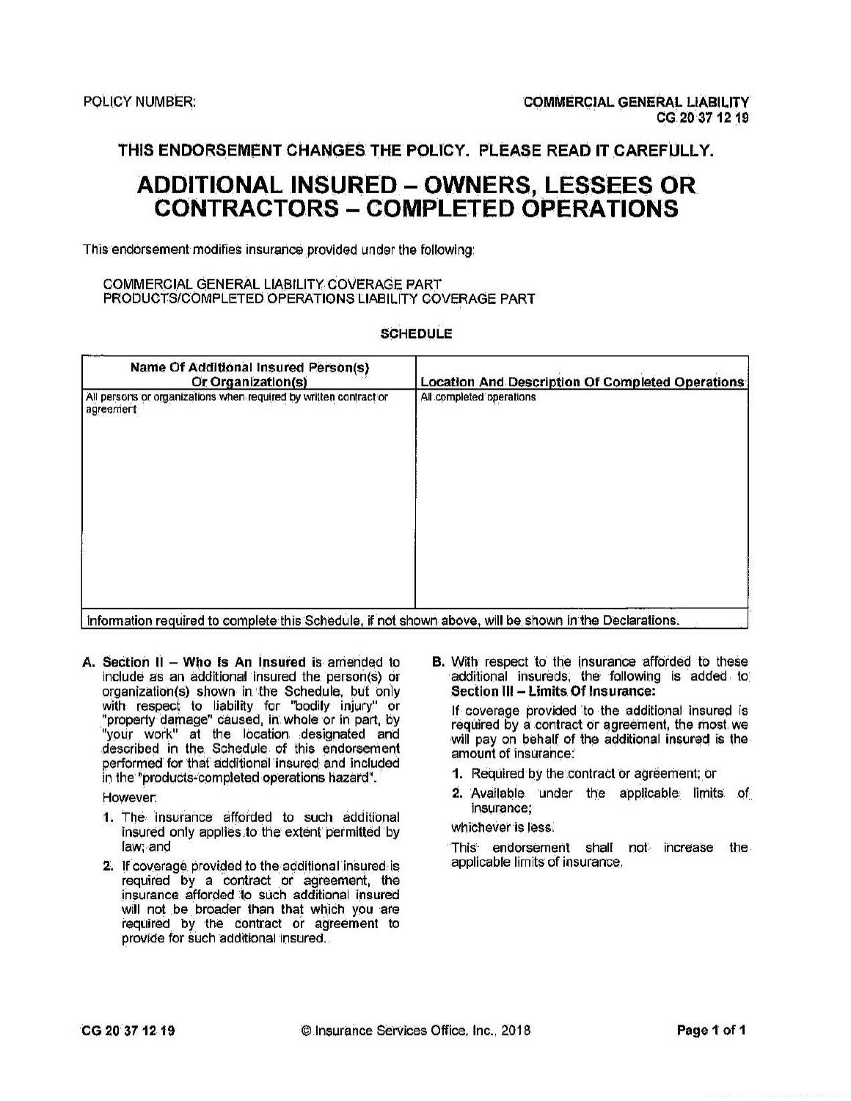# **ADDITIONAL INSURED - OWNERS, LESSEES OR CONTRACTORS - COMPLETED OPERATIONS**

This endorsement modifies insurance provided under the following:

#### COMMERCIAL GENERAL LIABILITY COVERAGE PART PRODUCTS/COMPLETED OPERATIONS LIABILITY COVERAGE PART

#### **SCHEDULE**

| <b>Name Of Additional Insured Person(s)</b><br>Or Organization(s)              | <b>Location And Description Of Completed Operations</b> |
|--------------------------------------------------------------------------------|---------------------------------------------------------|
| All persons or organizations when required by written contract or<br>agreement | All completed operations                                |
|                                                                                |                                                         |
|                                                                                |                                                         |

l'information required to complète this Schedule, if not shown above, will be shown in the Declarations.

A. Section  $II - W$ ho is An Insured is amended to include as an additional insured the person(s) or organization(s) shown in the Schedule, but only<br>with respect to liability for "bodily injury" or<br>"property damage" caused, in whole or in part, by<br>"your work" at the location designated and<br>described in the Schedule of thi performed for that additional insured and included in the "products-completed operations hazard".

However:

- 1. The insurance afforded to such additional insured only applies to the extent permitted by law: and
- 2. If coverage provided to the additional insured is required by a contract or agreement, the insurance afforded to such additional insured will not be broader than that which you are required by the contract or agreement to provide for such additional insured.

**B.** With respect to the insurance afforded to these additional insureds, the following is added to Section III - Limits Of Insurance:

If coverage provided to the additional insured is required by a contract or agreement, the most we will pay on behalf of the additional insured is the amount of insurance:

- 1. Required by the contract or agreement; or
- 2. Available under the applicable limits of insurance:
- whichever is less.

This endorsement shall not increase the applicable limits of insurance.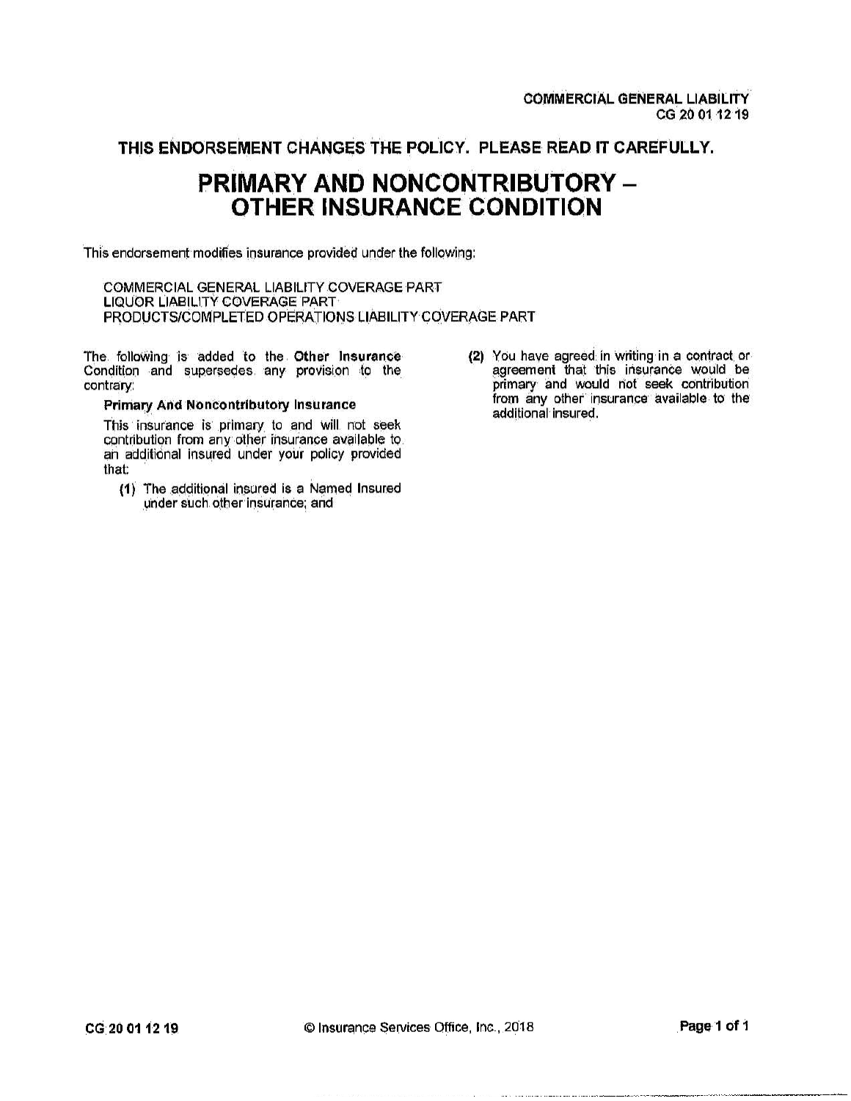# PRIMARY AND NONCONTRIBUTORY -**OTHER INSURANCE CONDITION**

This endorsement modifies insurance provided under the following:

COMMERCIAL GENERAL LIABILITY COVERAGE PART LIQUOR LIABILITY COVERAGE PART PRODUCTS/COMPLETED OPERATIONS LIABILITY COVERAGE PART

The following is added to the Other Insurance Condition and supersedes any provision to the contrary:

#### **Primary And Noncontributory Insurance**

This insurance is primary to and will not seek contribution from any other insurance available to. an additional insured under your policy provided that:

- (1) The additional insured is a Named Insured under such other insurance; and
- (2) You have agreed in writing in a contract or agreement that this insurance would be primary and would not seek contribution from any other insurance available to the additional insured.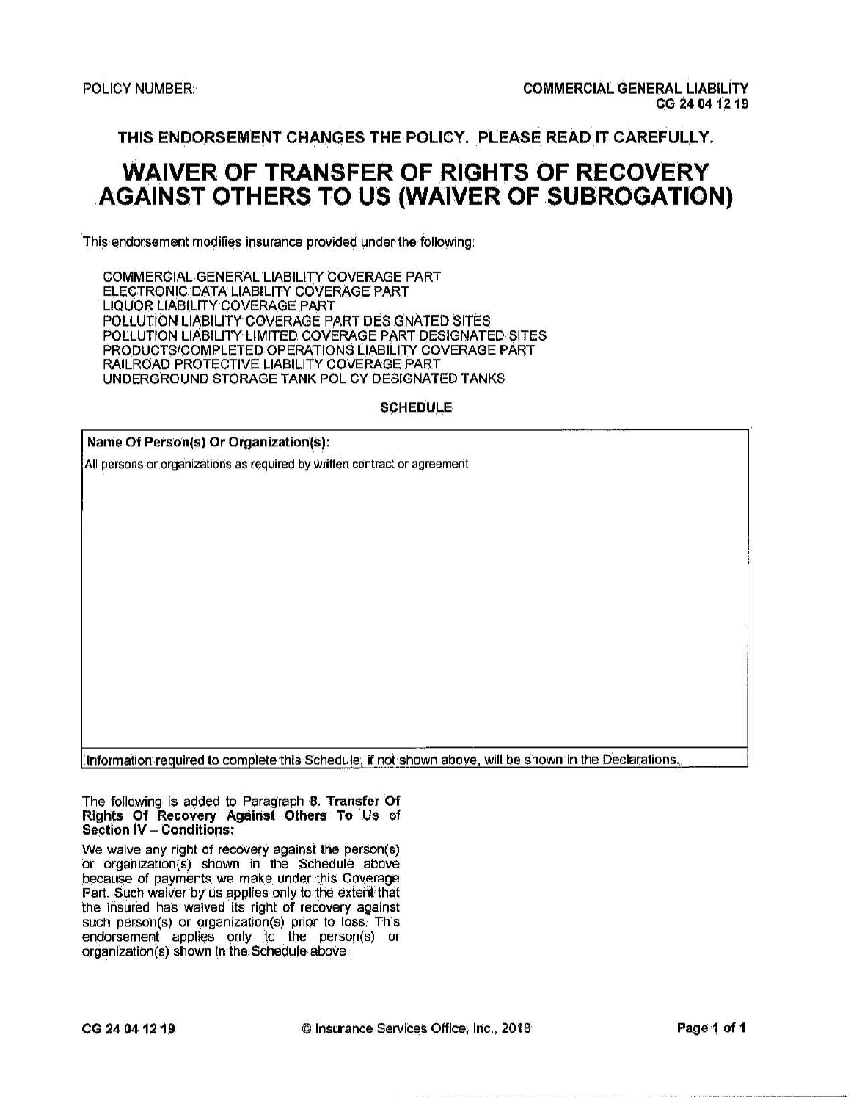# **WAIVER OF TRANSFER OF RIGHTS OF RECOVERY AGAINST OTHERS TO US (WAIVER OF SUBROGATION)**

This endorsement modifies insurance provided under the following:

COMMERCIAL GENERAL LIABILITY COVERAGE PART ELECTRONIC DATA LIABILITY COVERAGE PART LIQUOR LIABILITY COVERAGE PART POLLUTION LIABILITY COVERAGE PART DESIGNATED SITES POLLUTION LIABILITY LIMITED COVERAGE PART DESIGNATED SITES PRODUCTS/COMPLETED OPERATIONS LIABILITY COVERAGE PART RAILROAD PROTECTIVE LIABILITY COVERAGE PART UNDERGROUND STORAGE TANK POLICY DESIGNATED TANKS

**SCHEDULE** 

| Name Of Person(s) Or Organization(s): |  |
|---------------------------------------|--|
|---------------------------------------|--|

All persons or organizations as required by written contract or agreement

Information required to complete this Schedule, if not shown above, will be shown in the Declarations.

The following is added to Paragraph 8. Transfer Of Rights Of Recovery Against Others To Us of Section IV - Conditions:

We waive any right of recovery against the person(s) or organization(s) shown in the Schedule above because of payments we make under this Coverage Part. Such waiver by us applies only to the extent that the insured has waived its right of recovery against such person(s) or organization(s) prior to loss. This endorsement applies only to the person(s) or organization(s) shown in the Schedule above.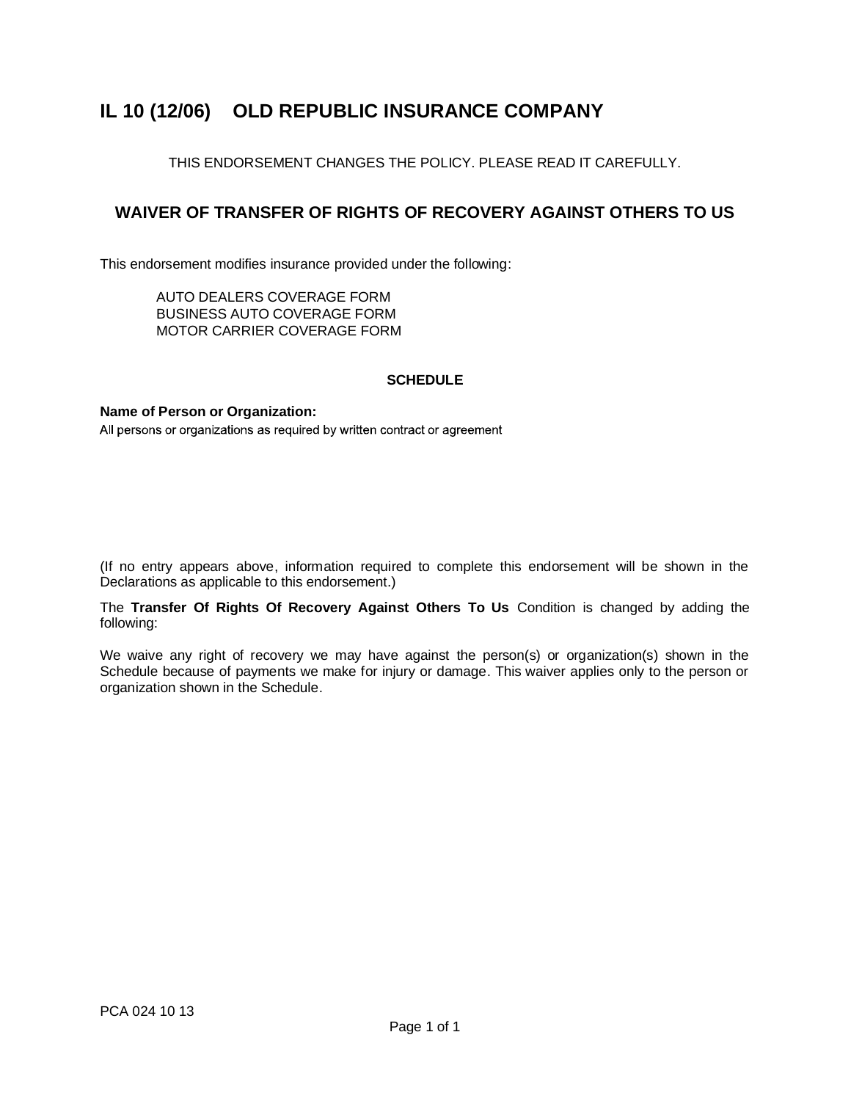## **IL 10 (12/06) OLD REPUBLIC INSURANCE COMPANY**

THIS ENDORSEMENT CHANGES THE POLICY. PLEASE READ IT CAREFULLY.

### **WAIVER OF TRANSFER OF RIGHTS OF RECOVERY AGAINST OTHERS TO US**

This endorsement modifies insurance provided under the following:

AUTO DEALERS COVERAGE FORM BUSINESS AUTO COVERAGE FORM MOTOR CARRIER COVERAGE FORM

### **SCHEDULE**

**Name of Person or Organization:**

All persons or organizations as required by written contract or agreement

(If no entry appears above, information required to complete this endorsement will be shown in the Declarations as applicable to this endorsement.)

The **Transfer Of Rights Of Recovery Against Others To Us** Condition is changed by adding the following:

We waive any right of recovery we may have against the person(s) or organization(s) shown in the Schedule because of payments we make for injury or damage. This waiver applies only to the person or organization shown in the Schedule.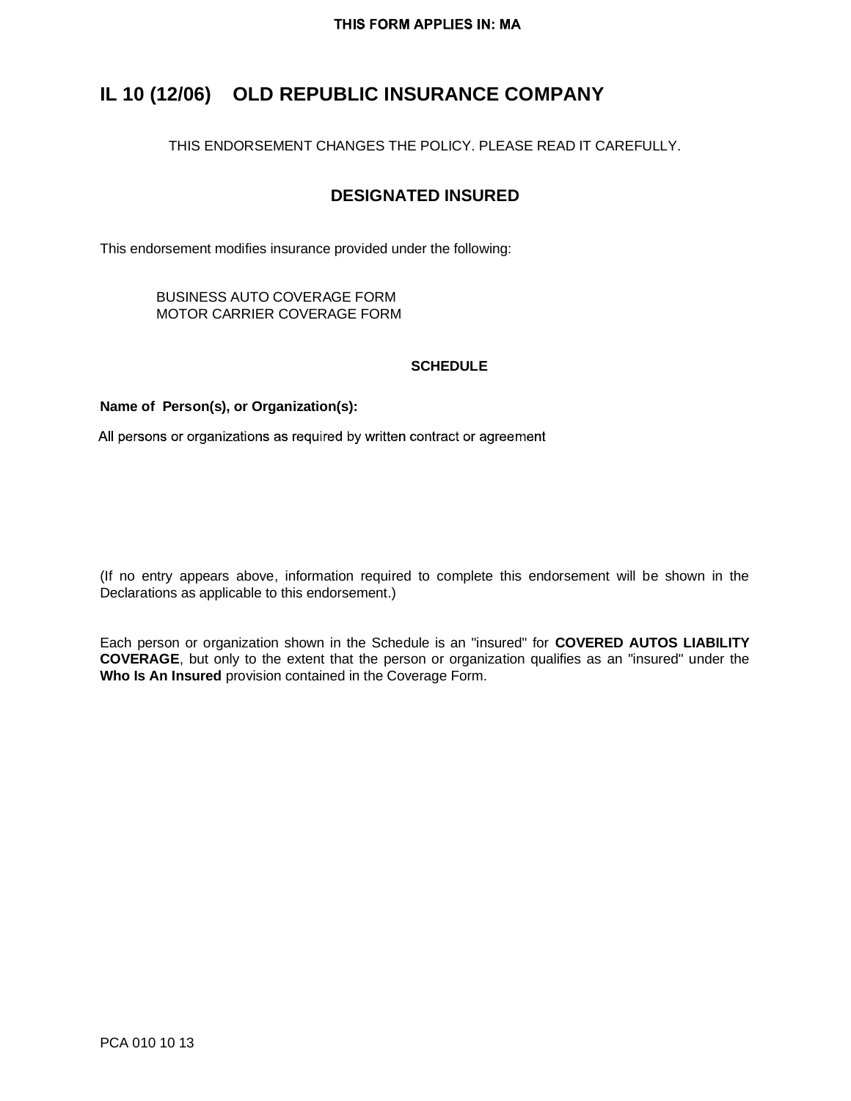## **IL 10 (12/06) OLD REPUBLIC INSURANCE COMPANY**

THIS ENDORSEMENT CHANGES THE POLICY. PLEASE READ IT CAREFULLY.

### **DESIGNATED INSURED**

This endorsement modifies insurance provided under the following:

BUSINESS AUTO COVERAGE FORM MOTOR CARRIER COVERAGE FORM

### **SCHEDULE**

### **Name of Person(s), or Organization(s):**

All persons or organizations as required by written contract or agreement

(If no entry appears above, information required to complete this endorsement will be shown in the Declarations as applicable to this endorsement.)

Each person or organization shown in the Schedule is an "insured" for **COVERED AUTOS LIABILITY COVERAGE**, but only to the extent that the person or organization qualifies as an "insured" under the **Who Is An Insured** provision contained in the Coverage Form.